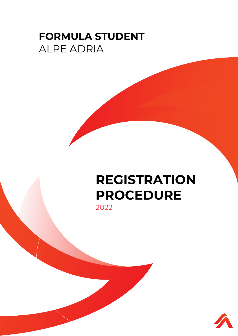# **FORMULA STUDENT** ALPE ADRIA

# **REGISTRATION PROCEDURE** 2022

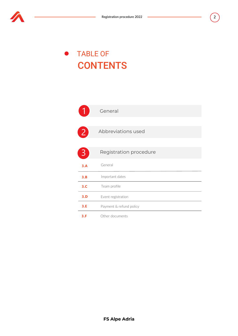

# TABLE OF **CONTENTS**



1– General



2 Abbreviations used



**3.A** General **3.B** Important dates Registration procedure **3.C** Team profile **3.D** Event registration **3.E** Payment & refund policy **3.F** Other documents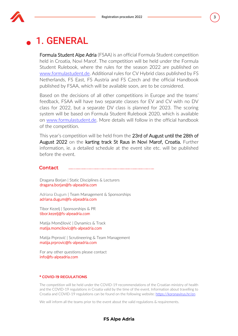

# 1. GENERAL

Formula Student Alpe Adria (FSAA) is an official Formula Student competition held in Croatia, Novi Marof. The competition will be held under the Formula Student Rulebook, where the rules for the season 2022 are published on [www.formulastudent.de.](file:///C:/Users/Tomislava/Downloads/Company%20Profile/Ms%20Word/www.formulastudent.de) Additional rules for CV Hybrid class published by FS Netherlands, FS East, FS Austria and FS Czech and the official Handbook published by FSAA, which will be available soon, are to be considered.

Based on the decisions of all other competitions in Europe and the teams' feedback, FSAA will have two separate classes for EV and CV with no DV class for 2022, but a separate DV class is planned for 2023. The scoring system will be based on Formula Student Rulebook 2020, which is available on [www.formulastudent.de.](file:///C:/Users/Tomislava/Downloads/Company%20Profile/Ms%20Word/www.formulastudent.de) More details will follow in the official handbook of the competition.

This year's competition will be held from the 23rd of August until the 28th of August 2022 on the karting track St Raus in Novi Marof, Croatia. Further information, ie. a detailed schedule at the event site etc. will be published before the event.

#### **Contact**

Dragana Borjan | Static Disciplines & Lecturers dragana.borjan@fs-alpeadria.com

Adriana Đugum | Team Management & Sponsorships adriana.dugu[m@fs-alpeadria.com](mailto:matija.prprovic@fs-alpeadria.com) 

Tibor Kezelj | Sponsorships & PR tibor.kezelj@fs-alpeadria.com

Matija Momčilović | Dynamics & Track matija.momcilovic@fs-alpeadria.com

Matija Prprović | Scrutineering & Team Management [matija.prprovic@fs-alpeadria.com](mailto:matija.prprovic@fs-alpeadria.com)

For any other questions please contact [info@fs-alpeadria.com](mailto:info@fs-alpeadria.com)

#### \* COVID-19 REGULATIONS

The competition will be held under the COVID-19 recommendations of the Croatian ministry of health and the COVID-19 regulations in Croatia valid by the time of the event. Information about travelling to Croatia and COVID-19 regulations can be found on the following website[: https://koronavirus.hr/en](https://koronavirus.hr/en)

We will inform all the teams prior to the event about the valid regulations & requirements.

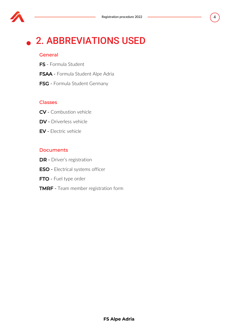

# 2. ABBREVIATIONS USED

### **General**

- FS Formula Student
- FSAA Formula Student Alpe Adria
- FSG Formula Student Germany

### **Classes**

- CV Combustion vehicle
- DV Driverless vehicle
- EV Electric vehicle

#### **Documents**

- DR Driver's registration
- ESO Electrical systems officer
- FTO Fuel type order
- **TMRF** Team member registration form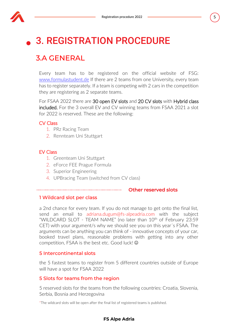

# 3. REGISTRATION PROCEDURE

# 3.A GENERAL

Every team has to be registered on the official website of FSG: [www.formulastudent.de](http://www.formulastudent.de/) If there are 2 teams from one University, every team has to register separately. If a team is competing with 2 cars in the competition they are registering as 2 separate teams.

For FSAA 2022 there are 30 open EV slots and 20 CV slots with Hybrid class included. For the 3 overall EV and CV winning teams from FSAA 2021 a slot for 2022 is reserved. These are the following:

# CV Class

- 1. PRz Racing Team
- 2. Rennteam Uni Stuttgart

## EV Class

- 1. Greenteam Uni Stuttgart
- 2. eForce FEE Prague Formula
- 3. Superior Engineering
- 4. UPBracing Team (switched from CV class)

### Other reserved slots

### 1 Wildcard slot per class

a 2nd chance for every team. If you do not manage to get onto the final list, send an email to [adriana.dugum@fs-alpeadria.com](mailto:adriana.dugum@fs-alpeadria.com) with the subject "WILDCARD SLOT - TEAM NAME" (no later than  $10<sup>th</sup>$  of February 23:59 CET) with your argument/s why we should see you on this year´s FSAA. The arguments can be anything you can think of - innovative concepts of your car, booked travel plans, reasonable problems with getting into any other competition, FSAA is the best etc. Good luck! ©

### 5 Intercontinental slots

the 5 fastest teams to register from 5 different countries outside of Europe will have a spot for FSAA 2022

### 5 Slots for teams from the region

5 reserved slots for the teams from the following countries: Croatia, Slovenia, Serbia, Bosnia and Herzegovina

\*The wildcard slots will be open after the final list of registered teams is published.

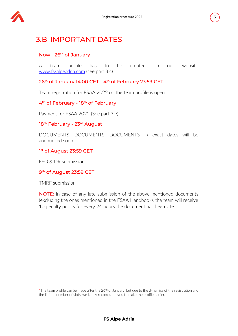

# 3.B IMPORTANT DATES

## Now - 26th of January

A team profile has to be created on our website [www.fs-alpeadria.com](http://www.fs-alpeadria.com/) (see part 3.c)

# 26<sup>th</sup> of January 14:00 CET - 4<sup>th</sup> of February 23:59 CET

Team registration for FSAA 2022 on the team profile is open

## 4th of February - 18th of February

Payment for FSAA 2022 (See part 3.e)

### 18<sup>th</sup> February - 23<sup>rd</sup> August

DOCUMENTS, DOCUMENTS, DOCUMENTS  $\rightarrow$  exact dates will be announced soon

## 1 st of August 23:59 CET

ESO & DR submission

### 9 th of August 23:59 CET

TMRF submission

NOTE: In case of any late submission of the above-mentioned documents (excluding the ones mentioned in the FSAA Handbook), the team will receive 10 penalty points for every 24 hours the document has been late.

\*The team profile can be made after the 26<sup>th</sup> of January, but due to the dynamics of the registration and the limited number of slots, we kindly recommend you to make the profile earlier.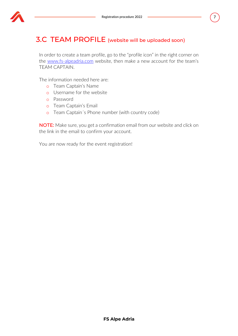

# 3.C TEAM PROFILE (website will be uploaded soon)

In order to create a team profile, go to the "profile icon" in the right corner on the [www.fs-alpeadria.com](http://www.fs-alpeadria.com/) website, then make a new account for the team's TEAM CAPTAIN.

The information needed here are:

- o Team Captain's Name
- o Username for the website
- o Password
- o Team Captain's Email
- o Team Captain´s Phone number (with country code)

NOTE: Make sure, you get a confirmation email from our website and click on the link in the email to confirm your account.

You are now ready for the event registration!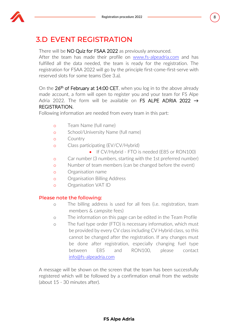

# 3.D EVENT REGISTRATION

### There will be NO Quiz for FSAA 2022 as previously announced.

After the team has made their profile on [www.fs-alpeadria.com](file:///C:/Users/Tomislava/Downloads/Company%20Profile/Ms%20Word/www.fs-alpeadria.com) and has fulfilled all the data needed, the team is ready for the registration. The registration for FSAA 2022 will go by the principle first-come-first-serve with reserved slots for some teams (See 3.a).

On the 26<sup>th</sup> of February at 14:00 CET, when you log in to the above already made account, a form will open to register you and your team for FS Alpe Adria 2022. The form will be available on FS ALPE ADRIA 2022  $\rightarrow$ REGISTRATION.

Following information are needed from every team in this part:

- o Team Name (full name)
- o School/University Name (full name)
- o Country
- o Class participating (EV/CV/Hybrid)
	- If CV/Hybrid FTO is needed (E85 or RON100)
- o Car number (3 numbers, starting with the 1st preferred number)
- o Number of team members (can be changed before the event)
- o Organisation name
- o Organisation Billing Address
- o Organisation VAT ID

# Please note the following:

- o The billing address is used for all fees (i.e. registration, team members & campsite fees)
- o The information on this page can be edited in the Team Profile
- o The fuel type order (FTO) is necessary information, which must be provided by every CV class including CV Hybrid class, so this cannot be changed after the registration. If any changes must be done after registration, especially changing fuel type between E85 and RON100, please contact <info@fs-alpeadria.com>

A message will be shown on the screen that the team has been successfully registered which will be followed by a confirmation email from the website (about 15 - 30 minutes after).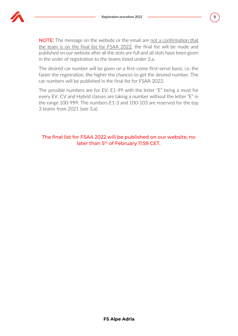

**NOTE:** The message on the website or the email are not a confirmation that the team is on the final list for FSAA 2022, the final list will be made and published on our website after all the slots are full and all slots have been given in the order of registration to the teams listed under 3.a.

The desired car number will be given on a first-come-first-serve basis; i.e. the faster the registration, the higher the chances to get the desired number. The car numbers will be published in the final list for FSAA 2022.

The possible numbers are for EV: E1-99 with the letter "E" being a must for every EV. CV and Hybrid classes are taking a number without the letter "E" in the range 100-999. The numbers E1-3 and 100-103 are reserved for the top 3 teams from 2021 (see 3.a).

The final list for FSAA 2022 will be published on our website, no later than 5<sup>th</sup> of February 11:59 CET.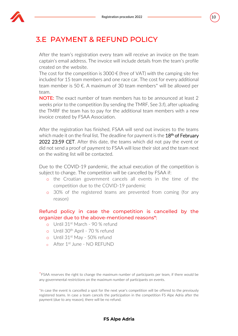

# 3.E PAYMENT & REFUND POLICY

After the team's registration every team will receive an invoice on the team captain's email address. The invoice will include details from the team's profile created on the website.

The cost for the competition is 3000  $\epsilon$  (free of VAT) with the camping site fee included for 15 team members and one race car. The cost for every additional team member is 50  $\epsilon$ . A maximum of 30 team members<sup>\*</sup> will be allowed per team.

NOTE: The exact number of team members has to be announced at least 2 weeks prior to the competition (by sending the TMRF, See 3.f), after uploading the TMRF the team has to pay for the additional team members with a new invoice created by FSAA Association.

After the registration has finished, FSAA will send out invoices to the teams which made it on the final list. The deadline for payment is the 18<sup>th</sup> of February 2022 23:59 CET. After this date, the teams which did not pay the event or did not send a proof of payment to FSAA will lose their slot and the team next on the waiting list will be contacted.

Due to the COVID-19 pandemic, the actual execution of the competition is subject to change. The competition will be cancelled by FSAA if:

- o the Croatian government cancels all events in the time of the competition due to the COVID-19 pandemic
- o 30% of the registered teams are prevented from coming (for any reason)

# Refund policy in case the competition is cancelled by the organizer due to the above-mentioned reasons\*:

- o Until 31st March 90 % refund
- o Until 30th April 70 % refund
- o Until 31st May 50% refund
- o After 1<sup>st</sup> June NO RFFUND

\*FSAA reserves the right to change the maximum number of participants per team, if there would be any governmental restrictions on the maximum number of participants on events.

\*In case the event is cancelled a spot for the next year's competition will be offered to the previously registered teams. In case a team cancels the participation in the competition FS Alpe Adria after the payment (due to any reason), there will be no refund.

10

### **FS Alpe Adria**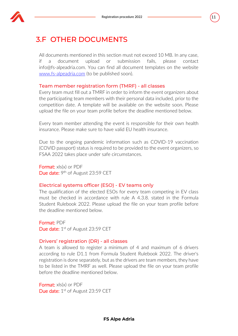

# 3.F OTHER DOCUMENTS

All documents mentioned in this section must not exceed 10 MB. In any case, if a document upload or submission fails, please contact info@fs-alpeadria.com. You can find all document templates on the website [www.fs-alpeadria.com](file:///C:/Users/Tomislava/Downloads/Company%20Profile/Ms%20Word/www.fs-alpeadria.com) (to be published soon).

#### Team member registration form (TMRF) - all classes

Every team must fill out a TMRF in order to inform the event organizers about the participating team members with their personal data included, prior to the competition date. A template will be available on the website soon. Please upload the file on your team profile before the deadline mentioned below.

Every team member attending the event is responsible for their own health insurance. Please make sure to have valid EU health insurance.

Due to the ongoing pandemic information such as COVID-19 vaccination (COVID passport) status is required to be provided to the event organizers, so FSAA 2022 takes place under safe circumstances.

Format: xls(x) or PDF Due date: 9<sup>th</sup> of August 23:59 CET

#### Electrical systems officer (ESO) - EV teams only

The qualification of the elected ESOs for every team competing in EV class must be checked in accordance with rule A 4.3.8. stated in the Formula Student Rulebook 2022. Please upload the file on your team profile before the deadline mentioned below.

Format: PDF Due date: 1st of August 23:59 CET

#### Drivers' registration (DR) - all classes

A team is allowed to register a minimum of 4 and maximum of 6 drivers according to rule D1.1 from Formula Student Rulebook 2022. The driver's registration is done separately, but as the drivers are team members, they have to be listed in the TMRF as well. Please upload the file on your team profile before the deadline mentioned below.

Format: xls(x) or PDF Due date: 1<sup>st</sup> of August 23:59 CET